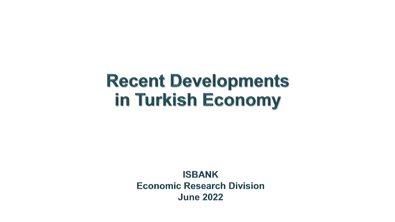# **Recent Developments** in Turkish Economy

**ISBANK Economic Research Division June 2022**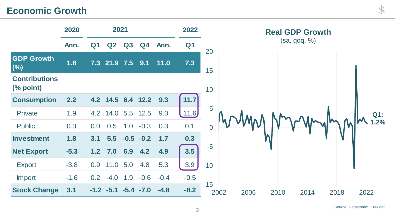# **Economic Growth**

|                                   | 2020   | 2021             |                |        |                | 2022   |                |                | <b>Real GDP Growth</b> |              |      |      |      |        |
|-----------------------------------|--------|------------------|----------------|--------|----------------|--------|----------------|----------------|------------------------|--------------|------|------|------|--------|
|                                   | Ann.   | Q <sub>1</sub>   | Q <sub>2</sub> | Q3     | Q <sub>4</sub> | Ann.   | Q <sub>1</sub> | 20             |                        | (sa, qoq, %) |      |      |      |        |
| <b>GDP Growth</b><br>(%)          | 1.8    |                  | 7.3 21.9 7.5   |        | 9.1            | 11.0   | 7.3            | 15             |                        |              |      |      |      |        |
| <b>Contributions</b><br>(% point) |        |                  |                |        |                |        |                | 10             |                        |              |      |      |      |        |
| <b>Consumption</b>                | 2.2    |                  | 4.2 14.5       | 6.4    | 12.2           | 9.3    | 11.7           |                |                        |              |      |      |      |        |
| Private                           | 1.9    | 4.2              | 14.0           | 5.5    | 12.5           | 9.0    | .11.6          | 5              |                        |              |      |      |      | $Q1$ : |
| <b>Public</b>                     | 0.3    | 0.0              | 0.5            | 1.0    | $-0.3$         | 0.3    | 0.1            | $\overline{0}$ |                        |              |      |      |      | 1.2%   |
| <b>Investment</b>                 | 1.8    | 3.1              | 5.5            | $-0.5$ | $-0.2$         | 1.7    | 0.3            |                |                        |              |      |      |      |        |
| <b>Net Export</b>                 | $-5.3$ | 1.2              | 7.0            | 6.9    | 4.2            | 4.9    | 3.5            | $-5$           |                        |              |      |      |      |        |
| <b>Export</b>                     | $-3.8$ | 0.9              | 11.0           | 5.0    | 4.8            | 5.3    | 3.9            | $-10$          |                        |              |      |      |      |        |
| Import                            | $-1.6$ | 0.2 <sub>0</sub> | $-4.0$         | 1.9    | $-0.6$         | $-0.4$ | $-0.5$         |                |                        |              |      |      |      |        |
| <b>Stock Change</b>               | 3.1    |                  | $-1.2 -5.1$    |        | $-5.4 -7.0$    | $-4.8$ | $-8.2$         | $-15$          | 2002                   | 2006         | 2010 | 2014 | 2018 | 2022   |

Š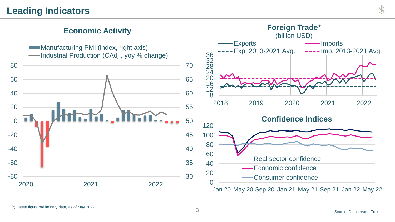#### **Economic Activity**

Manufacturing PMI (index, right axis) -Industrial Production (CAdj., yoy % change)



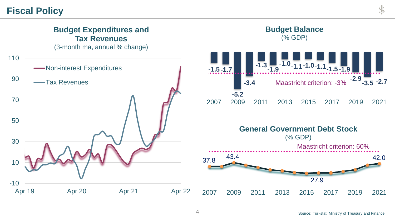#### **Fiscal Policy**

#### -10 10 30 50 70 90 110 Apr 19 Apr 20 Apr 21 Apr 22 **Budget Expenditures and Tax Revenues** (3-month ma, annual % change) **Non-interest Expenditures** Tax Revenues **-1.5 -1.7 -5.2 -3.4 -1.3 -1.9 -1.0 -1.1-1.0-1.1-1.5 -1.9 -2.9 -3.5 -2.7** 2007 2009 2011 2013 2015 2017 2019 2021 **Budget Balance**  (% GDP) Maastricht criterion: -3% 37.8 43.4 27.9 42.0 2007 2009 2011 2013 2015 2017 2019 2021 **General Government Debt Stock**  (% GDP) Maastricht criterion: 60%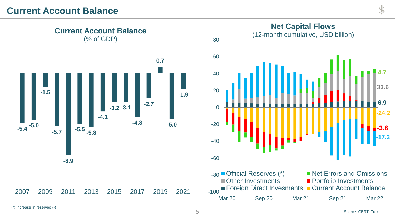

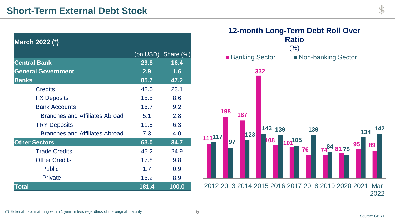| March 2022 (*)                        |                  |                    |
|---------------------------------------|------------------|--------------------|
|                                       |                  | (bn USD) Share (%) |
| <b>Central Bank</b>                   | 29.8             | 16.4               |
| <b>General Government</b>             | 2.9 <sup>°</sup> | 1.6                |
| <b>Banks</b>                          | 85.7             | 47.2               |
| <b>Credits</b>                        | 42.0             | 23.1               |
| <b>FX Deposits</b>                    | 15.5             | 8.6                |
| <b>Bank Accounts</b>                  | 16.7             | 9.2                |
| Branches and Affiliates Abroad        | 5.1              | 2.8                |
| <b>TRY Deposits</b>                   | 11.5             | 6.3                |
| <b>Branches and Affiliates Abroad</b> | 7.3              | 4.0                |
| <b>Other Sectors</b>                  | 63.0             | 34.7               |
| <b>Trade Credits</b>                  | 45.2             | 24.9               |
| <b>Other Credits</b>                  | 17.8             | 9.8                |
| <b>Public</b>                         | 1.7              | 0.9                |
| Private                               | 16.2             | 8.9                |
| <b>Total</b>                          | 181.4            | 100.0              |



D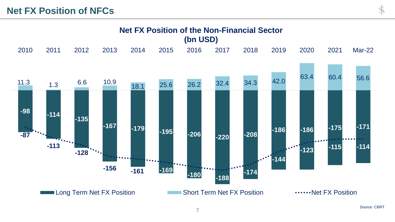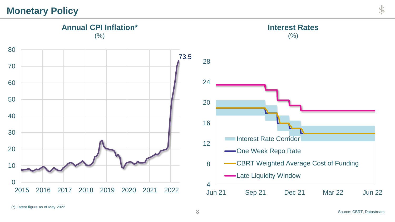## **Monetary Policy**

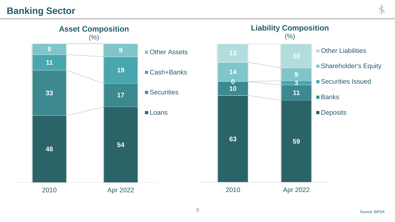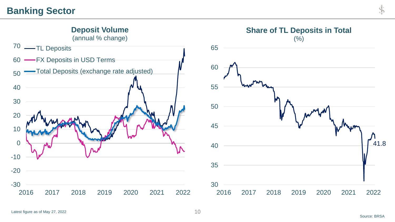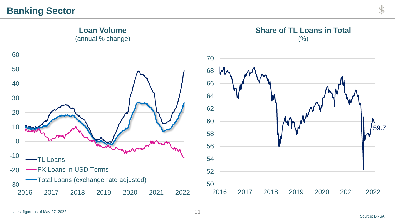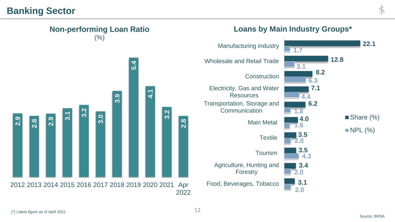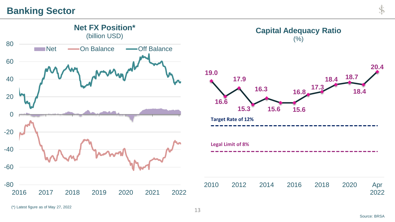

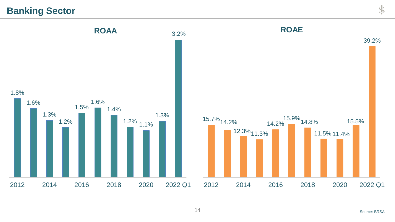